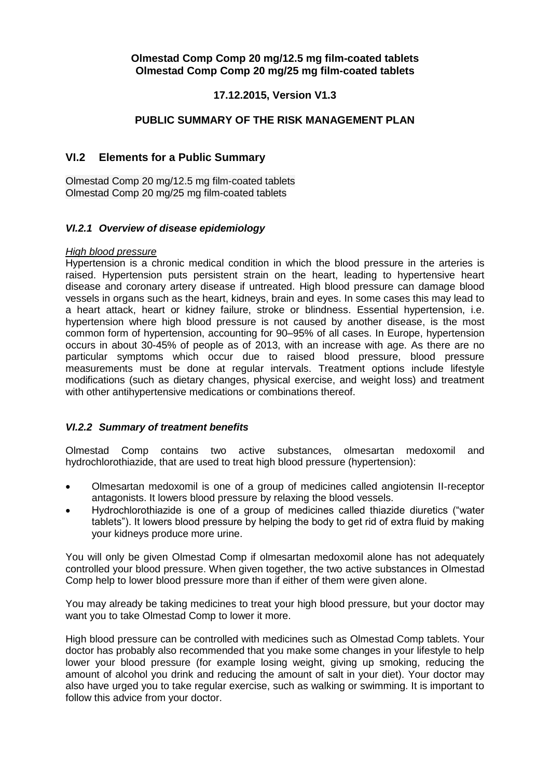## **17.12.2015, Version V1.3**

## **PUBLIC SUMMARY OF THE RISK MANAGEMENT PLAN**

## **VI.2 Elements for a Public Summary**

Olmestad Comp 20 mg/12.5 mg film-coated tablets Olmestad Comp 20 mg/25 mg film-coated tablets

#### *VI.2.1 Overview of disease epidemiology*

#### *High blood pressure*

Hypertension is a chronic medical condition in which the blood pressure in the arteries is raised. Hypertension puts persistent strain on the heart, leading to hypertensive heart disease and coronary artery disease if untreated. High blood pressure can damage blood vessels in organs such as the heart, kidneys, brain and eyes. In some cases this may lead to a heart attack, heart or kidney failure, stroke or blindness. Essential hypertension, i.e. hypertension where high blood pressure is not caused by another disease, is the most common form of hypertension, accounting for 90–95% of all cases. In Europe, hypertension occurs in about 30-45% of people as of 2013, with an increase with age. As there are no particular symptoms which occur due to raised blood pressure, blood pressure measurements must be done at regular intervals. Treatment options include lifestyle modifications (such as dietary changes, physical exercise, and weight loss) and treatment with other antihypertensive medications or combinations thereof.

#### *VI.2.2 Summary of treatment benefits*

Olmestad Comp contains two active substances, olmesartan medoxomil and hydrochlorothiazide, that are used to treat high blood pressure (hypertension):

- Olmesartan medoxomil is one of a group of medicines called angiotensin II-receptor antagonists. It lowers blood pressure by relaxing the blood vessels.
- Hydrochlorothiazide is one of a group of medicines called thiazide diuretics ("water tablets"). It lowers blood pressure by helping the body to get rid of extra fluid by making your kidneys produce more urine.

You will only be given Olmestad Comp if olmesartan medoxomil alone has not adequately controlled your blood pressure. When given together, the two active substances in Olmestad Comp help to lower blood pressure more than if either of them were given alone.

You may already be taking medicines to treat your high blood pressure, but your doctor may want you to take Olmestad Comp to lower it more.

High blood pressure can be controlled with medicines such as Olmestad Comp tablets. Your doctor has probably also recommended that you make some changes in your lifestyle to help lower your blood pressure (for example losing weight, giving up smoking, reducing the amount of alcohol you drink and reducing the amount of salt in your diet). Your doctor may also have urged you to take regular exercise, such as walking or swimming. It is important to follow this advice from your doctor.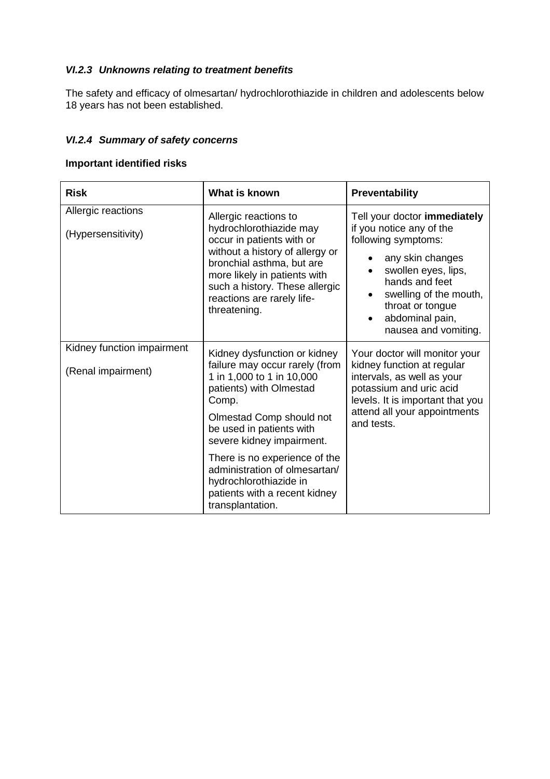# *VI.2.3 Unknowns relating to treatment benefits*

The safety and efficacy of olmesartan/ hydrochlorothiazide in children and adolescents below 18 years has not been established.

# *VI.2.4 Summary of safety concerns*

## **Important identified risks**

| <b>Risk</b>                                      | What is known                                                                                                                                                                                                                                                                                                    | <b>Preventability</b>                                                                                                                                                                                                                              |
|--------------------------------------------------|------------------------------------------------------------------------------------------------------------------------------------------------------------------------------------------------------------------------------------------------------------------------------------------------------------------|----------------------------------------------------------------------------------------------------------------------------------------------------------------------------------------------------------------------------------------------------|
| Allergic reactions<br>(Hypersensitivity)         | Allergic reactions to<br>hydrochlorothiazide may<br>occur in patients with or<br>without a history of allergy or<br>bronchial asthma, but are<br>more likely in patients with<br>such a history. These allergic<br>reactions are rarely life-<br>threatening.                                                    | Tell your doctor immediately<br>if you notice any of the<br>following symptoms:<br>any skin changes<br>$\bullet$<br>swollen eyes, lips,<br>hands and feet<br>swelling of the mouth,<br>throat or tongue<br>abdominal pain,<br>nausea and vomiting. |
| Kidney function impairment<br>(Renal impairment) | Kidney dysfunction or kidney<br>failure may occur rarely (from<br>1 in 1,000 to 1 in 10,000<br>patients) with Olmestad<br>Comp.<br>Olmestad Comp should not<br>be used in patients with<br>severe kidney impairment.<br>There is no experience of the<br>administration of olmesartan/<br>hydrochlorothiazide in | Your doctor will monitor your<br>kidney function at regular<br>intervals, as well as your<br>potassium and uric acid<br>levels. It is important that you<br>attend all your appointments<br>and tests.                                             |
|                                                  | patients with a recent kidney<br>transplantation.                                                                                                                                                                                                                                                                |                                                                                                                                                                                                                                                    |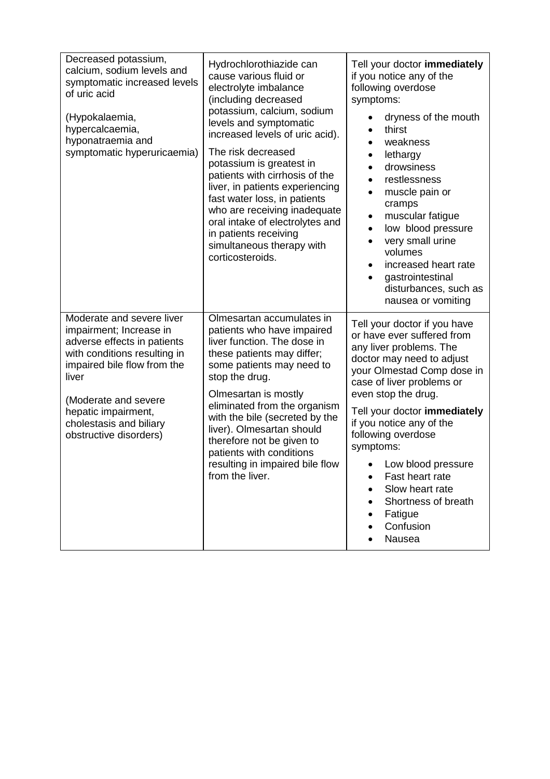| Decreased potassium,<br>calcium, sodium levels and<br>symptomatic increased levels<br>of uric acid<br>(Hypokalaemia,<br>hypercalcaemia,<br>hyponatraemia and<br>symptomatic hyperuricaemia)                                                                     | Hydrochlorothiazide can<br>cause various fluid or<br>electrolyte imbalance<br>(including decreased<br>potassium, calcium, sodium<br>levels and symptomatic<br>increased levels of uric acid).<br>The risk decreased<br>potassium is greatest in<br>patients with cirrhosis of the<br>liver, in patients experiencing<br>fast water loss, in patients<br>who are receiving inadequate<br>oral intake of electrolytes and<br>in patients receiving<br>simultaneous therapy with<br>corticosteroids. | Tell your doctor immediately<br>if you notice any of the<br>following overdose<br>symptoms:<br>dryness of the mouth<br>thirst<br>weakness<br>lethargy<br>$\bullet$<br>drowsiness<br>restlessness<br>muscle pain or<br>cramps<br>muscular fatigue<br>$\bullet$<br>low blood pressure<br>$\bullet$<br>very small urine<br>volumes<br>increased heart rate<br>$\bullet$<br>gastrointestinal<br>disturbances, such as<br>nausea or vomiting |
|-----------------------------------------------------------------------------------------------------------------------------------------------------------------------------------------------------------------------------------------------------------------|---------------------------------------------------------------------------------------------------------------------------------------------------------------------------------------------------------------------------------------------------------------------------------------------------------------------------------------------------------------------------------------------------------------------------------------------------------------------------------------------------|-----------------------------------------------------------------------------------------------------------------------------------------------------------------------------------------------------------------------------------------------------------------------------------------------------------------------------------------------------------------------------------------------------------------------------------------|
| Moderate and severe liver<br>impairment; Increase in<br>adverse effects in patients<br>with conditions resulting in<br>impaired bile flow from the<br>liver<br>(Moderate and severe<br>hepatic impairment,<br>cholestasis and biliary<br>obstructive disorders) | Olmesartan accumulates in<br>patients who have impaired<br>liver function. The dose in<br>these patients may differ;<br>some patients may need to<br>stop the drug.<br>Olmesartan is mostly<br>eliminated from the organism<br>with the bile (secreted by the<br>liver). Olmesartan should<br>therefore not be given to<br>patients with conditions<br>resulting in impaired bile flow<br>from the liver.                                                                                         | Tell your doctor if you have<br>or have ever suffered from<br>any liver problems. The<br>doctor may need to adjust<br>your Olmestad Comp dose in<br>case of liver problems or<br>even stop the drug.<br>Tell your doctor immediately<br>if you notice any of the<br>following overdose<br>symptoms:<br>• Low blood pressure<br>Fast heart rate<br>Slow heart rate<br>Shortness of breath<br>Fatigue<br>Confusion<br>Nausea              |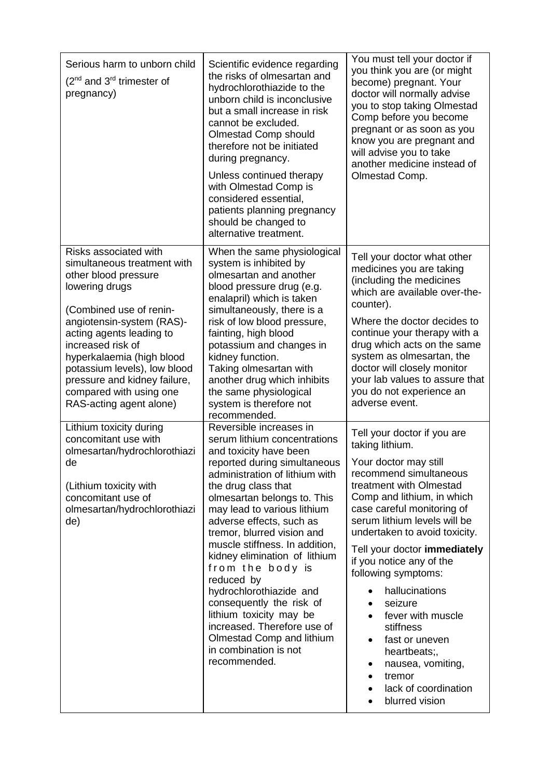| Serious harm to unborn child<br>$(2^{nd}$ and 3 <sup>rd</sup> trimester of<br>pregnancy)                                                                                                                                                                                                                                                                   | Scientific evidence regarding<br>the risks of olmesartan and<br>hydrochlorothiazide to the<br>unborn child is inconclusive<br>but a small increase in risk<br>cannot be excluded.<br>Olmestad Comp should<br>therefore not be initiated<br>during pregnancy.<br>Unless continued therapy<br>with Olmestad Comp is<br>considered essential,<br>patients planning pregnancy<br>should be changed to<br>alternative treatment.                                                                                                                                                                    | You must tell your doctor if<br>you think you are (or might<br>become) pregnant. Your<br>doctor will normally advise<br>you to stop taking Olmestad<br>Comp before you become<br>pregnant or as soon as you<br>know you are pregnant and<br>will advise you to take<br>another medicine instead of<br>Olmestad Comp.                                                                                                                                                                                                                |
|------------------------------------------------------------------------------------------------------------------------------------------------------------------------------------------------------------------------------------------------------------------------------------------------------------------------------------------------------------|------------------------------------------------------------------------------------------------------------------------------------------------------------------------------------------------------------------------------------------------------------------------------------------------------------------------------------------------------------------------------------------------------------------------------------------------------------------------------------------------------------------------------------------------------------------------------------------------|-------------------------------------------------------------------------------------------------------------------------------------------------------------------------------------------------------------------------------------------------------------------------------------------------------------------------------------------------------------------------------------------------------------------------------------------------------------------------------------------------------------------------------------|
| Risks associated with<br>simultaneous treatment with<br>other blood pressure<br>lowering drugs<br>(Combined use of renin-<br>angiotensin-system (RAS)-<br>acting agents leading to<br>increased risk of<br>hyperkalaemia (high blood<br>potassium levels), low blood<br>pressure and kidney failure,<br>compared with using one<br>RAS-acting agent alone) | When the same physiological<br>system is inhibited by<br>olmesartan and another<br>blood pressure drug (e.g.<br>enalapril) which is taken<br>simultaneously, there is a<br>risk of low blood pressure,<br>fainting, high blood<br>potassium and changes in<br>kidney function.<br>Taking olmesartan with<br>another drug which inhibits<br>the same physiological<br>system is therefore not<br>recommended.                                                                                                                                                                                   | Tell your doctor what other<br>medicines you are taking<br>(including the medicines<br>which are available over-the-<br>counter).<br>Where the doctor decides to<br>continue your therapy with a<br>drug which acts on the same<br>system as olmesartan, the<br>doctor will closely monitor<br>your lab values to assure that<br>you do not experience an<br>adverse event.                                                                                                                                                         |
| Lithium toxicity during<br>concomitant use with<br>olmesartan/hydrochlorothiazi<br>de<br>(Lithium toxicity with<br>concomitant use of<br>olmesartan/hydrochlorothiazi<br>de)                                                                                                                                                                               | Reversible increases in<br>serum lithium concentrations<br>and toxicity have been<br>reported during simultaneous<br>administration of lithium with<br>the drug class that<br>olmesartan belongs to. This<br>may lead to various lithium<br>adverse effects, such as<br>tremor, blurred vision and<br>muscle stiffness. In addition,<br>kidney elimination of lithium<br>from the body is<br>reduced by<br>hydrochlorothiazide and<br>consequently the risk of<br>lithium toxicity may be<br>increased. Therefore use of<br>Olmestad Comp and lithium<br>in combination is not<br>recommended. | Tell your doctor if you are<br>taking lithium.<br>Your doctor may still<br>recommend simultaneous<br>treatment with Olmestad<br>Comp and lithium, in which<br>case careful monitoring of<br>serum lithium levels will be<br>undertaken to avoid toxicity.<br>Tell your doctor immediately<br>if you notice any of the<br>following symptoms:<br>hallucinations<br>seizure<br>fever with muscle<br>stiffness<br>fast or uneven<br>heartbeats;,<br>nausea, vomiting,<br>tremor<br>$\bullet$<br>lack of coordination<br>blurred vision |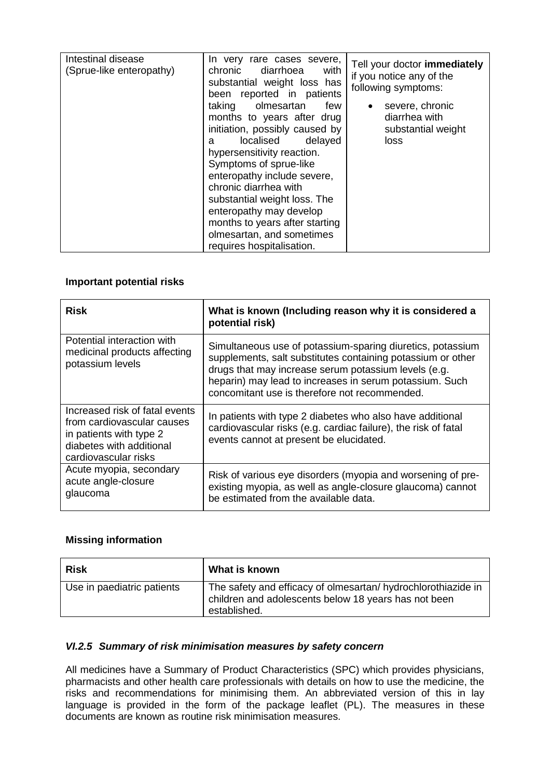| Intestinal disease<br>(Sprue-like enteropathy) | In very rare cases severe,<br>chronic<br>diarrhoea<br>with<br>substantial weight loss has<br>been reported in patients<br>taking olmesartan<br>few<br>months to years after drug<br>initiation, possibly caused by<br>localised delayed<br>a<br>hypersensitivity reaction.<br>Symptoms of sprue-like<br>enteropathy include severe,<br>chronic diarrhea with<br>substantial weight loss. The<br>enteropathy may develop<br>months to years after starting<br>olmesartan, and sometimes | Tell your doctor immediately<br>if you notice any of the<br>following symptoms:<br>severe, chronic<br>diarrhea with<br>substantial weight<br>loss |
|------------------------------------------------|----------------------------------------------------------------------------------------------------------------------------------------------------------------------------------------------------------------------------------------------------------------------------------------------------------------------------------------------------------------------------------------------------------------------------------------------------------------------------------------|---------------------------------------------------------------------------------------------------------------------------------------------------|
|                                                | requires hospitalisation.                                                                                                                                                                                                                                                                                                                                                                                                                                                              |                                                                                                                                                   |

### **Important potential risks**

| <b>Risk</b>                                                                                                                                 | What is known (Including reason why it is considered a<br>potential risk)                                                                                                                                                                                                                     |
|---------------------------------------------------------------------------------------------------------------------------------------------|-----------------------------------------------------------------------------------------------------------------------------------------------------------------------------------------------------------------------------------------------------------------------------------------------|
| Potential interaction with<br>medicinal products affecting<br>potassium levels                                                              | Simultaneous use of potassium-sparing diuretics, potassium<br>supplements, salt substitutes containing potassium or other<br>drugs that may increase serum potassium levels (e.g.<br>heparin) may lead to increases in serum potassium. Such<br>concomitant use is therefore not recommended. |
| Increased risk of fatal events<br>from cardiovascular causes<br>in patients with type 2<br>diabetes with additional<br>cardiovascular risks | In patients with type 2 diabetes who also have additional<br>cardiovascular risks (e.g. cardiac failure), the risk of fatal<br>events cannot at present be elucidated.                                                                                                                        |
| Acute myopia, secondary<br>acute angle-closure<br>glaucoma                                                                                  | Risk of various eye disorders (myopia and worsening of pre-<br>existing myopia, as well as angle-closure glaucoma) cannot<br>be estimated from the available data.                                                                                                                            |

## **Missing information**

| <b>Risk</b>                | What is known                                                                                                                         |
|----------------------------|---------------------------------------------------------------------------------------------------------------------------------------|
| Use in paediatric patients | The safety and efficacy of olmesartan/ hydrochlorothiazide in<br>children and adolescents below 18 years has not been<br>established. |

### *VI.2.5 Summary of risk minimisation measures by safety concern*

All medicines have a Summary of Product Characteristics (SPC) which provides physicians, pharmacists and other health care professionals with details on how to use the medicine, the risks and recommendations for minimising them. An abbreviated version of this in lay language is provided in the form of the package leaflet (PL). The measures in these documents are known as routine risk minimisation measures.